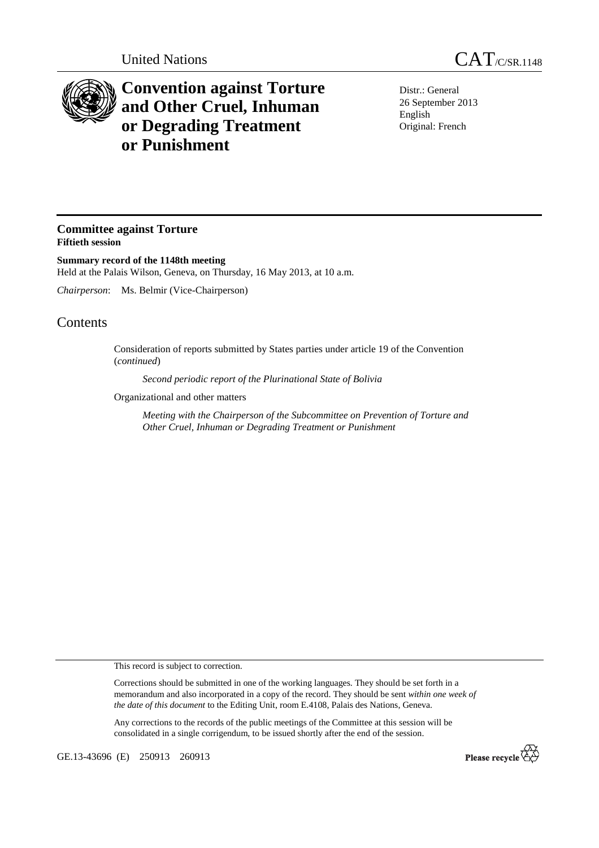

## **Convention against Torture and Other Cruel, Inhuman or Degrading Treatment or Punishment**

Distr.: General 26 September 2013 English Original: French

## **Committee against Torture Fiftieth session**

**Summary record of the 1148th meeting**  Held at the Palais Wilson, Geneva, on Thursday, 16 May 2013, at 10 a.m.

*Chairperson*: Ms. Belmir (Vice-Chairperson)

## **Contents**

Consideration of reports submitted by States parties under article 19 of the Convention (*continued*)

*Second periodic report of the Plurinational State of Bolivia* 

Organizational and other matters

*Meeting with the Chairperson of the Subcommittee on Prevention of Torture and Other Cruel, Inhuman or Degrading Treatment or Punishment* 

This record is subject to correction.

Corrections should be submitted in one of the working languages. They should be set forth in a memorandum and also incorporated in a copy of the record. They should be sent *within one week of the date of this document* to the Editing Unit, room E.4108, Palais des Nations, Geneva.

Any corrections to the records of the public meetings of the Committee at this session will be consolidated in a single corrigendum, to be issued shortly after the end of the session.

GE.13-43696 (E) 250913 260913

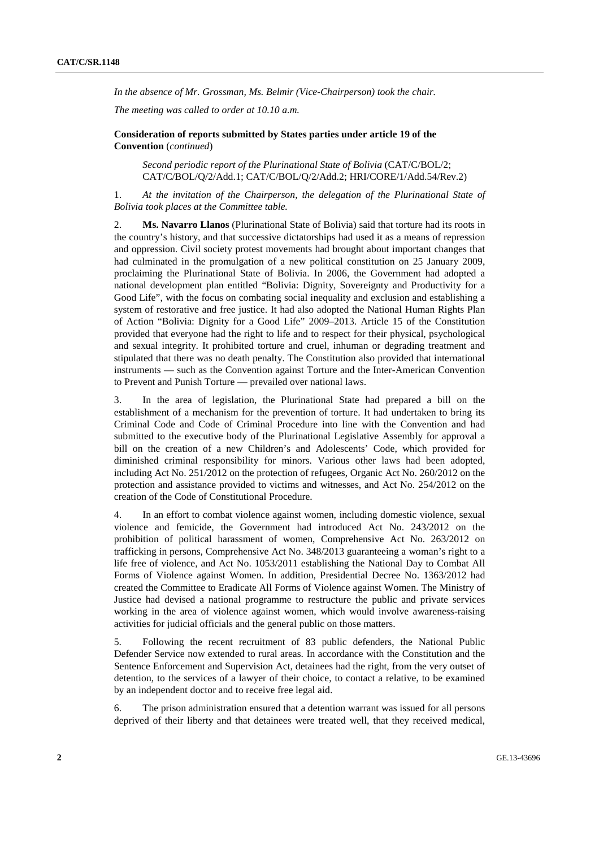*In the absence of Mr. Grossman, Ms. Belmir (Vice-Chairperson) took the chair.* 

*The meeting was called to order at 10.10 a.m.* 

 **Consideration of reports submitted by States parties under article 19 of the Convention** (*continued*)

*Second periodic report of the Plurinational State of Bolivia* (CAT/C/BOL/2; CAT/C/BOL/Q/2/Add.1; CAT/C/BOL/Q/2/Add.2; HRI/CORE/1/Add.54/Rev.2)

1. *At the invitation of the Chairperson, the delegation of the Plurinational State of Bolivia took places at the Committee table.* 

2. **Ms. Navarro Llanos** (Plurinational State of Bolivia) said that torture had its roots in the country's history, and that successive dictatorships had used it as a means of repression and oppression. Civil society protest movements had brought about important changes that had culminated in the promulgation of a new political constitution on 25 January 2009, proclaiming the Plurinational State of Bolivia. In 2006, the Government had adopted a national development plan entitled "Bolivia: Dignity, Sovereignty and Productivity for a Good Life", with the focus on combating social inequality and exclusion and establishing a system of restorative and free justice. It had also adopted the National Human Rights Plan of Action "Bolivia: Dignity for a Good Life" 2009–2013. Article 15 of the Constitution provided that everyone had the right to life and to respect for their physical, psychological and sexual integrity. It prohibited torture and cruel, inhuman or degrading treatment and stipulated that there was no death penalty. The Constitution also provided that international instruments — such as the Convention against Torture and the Inter-American Convention to Prevent and Punish Torture — prevailed over national laws.

3. In the area of legislation, the Plurinational State had prepared a bill on the establishment of a mechanism for the prevention of torture. It had undertaken to bring its Criminal Code and Code of Criminal Procedure into line with the Convention and had submitted to the executive body of the Plurinational Legislative Assembly for approval a bill on the creation of a new Children's and Adolescents' Code, which provided for diminished criminal responsibility for minors. Various other laws had been adopted, including Act No. 251/2012 on the protection of refugees, Organic Act No. 260/2012 on the protection and assistance provided to victims and witnesses, and Act No. 254/2012 on the creation of the Code of Constitutional Procedure.

4. In an effort to combat violence against women, including domestic violence, sexual violence and femicide, the Government had introduced Act No. 243/2012 on the prohibition of political harassment of women, Comprehensive Act No. 263/2012 on trafficking in persons, Comprehensive Act No. 348/2013 guaranteeing a woman's right to a life free of violence, and Act No. 1053/2011 establishing the National Day to Combat All Forms of Violence against Women. In addition, Presidential Decree No. 1363/2012 had created the Committee to Eradicate All Forms of Violence against Women. The Ministry of Justice had devised a national programme to restructure the public and private services working in the area of violence against women, which would involve awareness-raising activities for judicial officials and the general public on those matters.

5. Following the recent recruitment of 83 public defenders, the National Public Defender Service now extended to rural areas. In accordance with the Constitution and the Sentence Enforcement and Supervision Act, detainees had the right, from the very outset of detention, to the services of a lawyer of their choice, to contact a relative, to be examined by an independent doctor and to receive free legal aid.

6. The prison administration ensured that a detention warrant was issued for all persons deprived of their liberty and that detainees were treated well, that they received medical,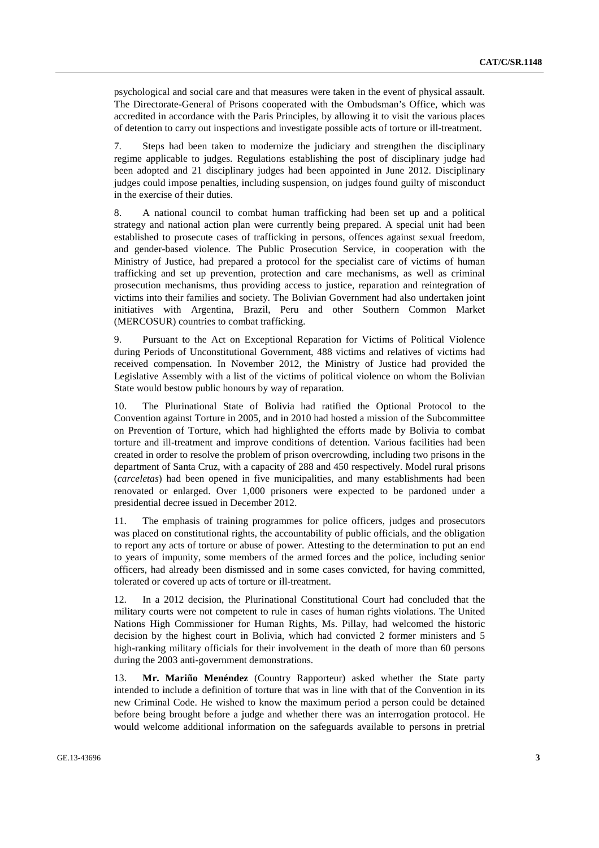psychological and social care and that measures were taken in the event of physical assault. The Directorate-General of Prisons cooperated with the Ombudsman's Office, which was accredited in accordance with the Paris Principles, by allowing it to visit the various places of detention to carry out inspections and investigate possible acts of torture or ill-treatment.

7. Steps had been taken to modernize the judiciary and strengthen the disciplinary regime applicable to judges. Regulations establishing the post of disciplinary judge had been adopted and 21 disciplinary judges had been appointed in June 2012. Disciplinary judges could impose penalties, including suspension, on judges found guilty of misconduct in the exercise of their duties.

8. A national council to combat human trafficking had been set up and a political strategy and national action plan were currently being prepared. A special unit had been established to prosecute cases of trafficking in persons, offences against sexual freedom, and gender-based violence. The Public Prosecution Service, in cooperation with the Ministry of Justice, had prepared a protocol for the specialist care of victims of human trafficking and set up prevention, protection and care mechanisms, as well as criminal prosecution mechanisms, thus providing access to justice, reparation and reintegration of victims into their families and society. The Bolivian Government had also undertaken joint initiatives with Argentina, Brazil, Peru and other Southern Common Market (MERCOSUR) countries to combat trafficking.

9. Pursuant to the Act on Exceptional Reparation for Victims of Political Violence during Periods of Unconstitutional Government, 488 victims and relatives of victims had received compensation. In November 2012, the Ministry of Justice had provided the Legislative Assembly with a list of the victims of political violence on whom the Bolivian State would bestow public honours by way of reparation.

10. The Plurinational State of Bolivia had ratified the Optional Protocol to the Convention against Torture in 2005, and in 2010 had hosted a mission of the Subcommittee on Prevention of Torture, which had highlighted the efforts made by Bolivia to combat torture and ill-treatment and improve conditions of detention. Various facilities had been created in order to resolve the problem of prison overcrowding, including two prisons in the department of Santa Cruz, with a capacity of 288 and 450 respectively. Model rural prisons (*carceletas*) had been opened in five municipalities, and many establishments had been renovated or enlarged. Over 1,000 prisoners were expected to be pardoned under a presidential decree issued in December 2012.

11. The emphasis of training programmes for police officers, judges and prosecutors was placed on constitutional rights, the accountability of public officials, and the obligation to report any acts of torture or abuse of power. Attesting to the determination to put an end to years of impunity, some members of the armed forces and the police, including senior officers, had already been dismissed and in some cases convicted, for having committed, tolerated or covered up acts of torture or ill-treatment.

12. In a 2012 decision, the Plurinational Constitutional Court had concluded that the military courts were not competent to rule in cases of human rights violations. The United Nations High Commissioner for Human Rights, Ms. Pillay, had welcomed the historic decision by the highest court in Bolivia, which had convicted 2 former ministers and 5 high-ranking military officials for their involvement in the death of more than 60 persons during the 2003 anti-government demonstrations.

13. **Mr. Mariño Menéndez** (Country Rapporteur) asked whether the State party intended to include a definition of torture that was in line with that of the Convention in its new Criminal Code. He wished to know the maximum period a person could be detained before being brought before a judge and whether there was an interrogation protocol. He would welcome additional information on the safeguards available to persons in pretrial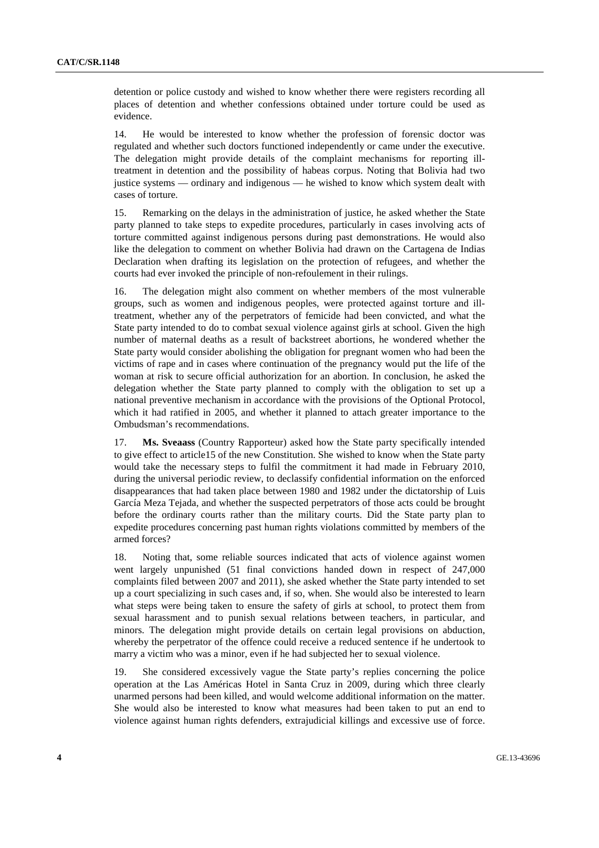detention or police custody and wished to know whether there were registers recording all places of detention and whether confessions obtained under torture could be used as evidence.

14. He would be interested to know whether the profession of forensic doctor was regulated and whether such doctors functioned independently or came under the executive. The delegation might provide details of the complaint mechanisms for reporting illtreatment in detention and the possibility of habeas corpus. Noting that Bolivia had two justice systems — ordinary and indigenous — he wished to know which system dealt with cases of torture.

15. Remarking on the delays in the administration of justice, he asked whether the State party planned to take steps to expedite procedures, particularly in cases involving acts of torture committed against indigenous persons during past demonstrations. He would also like the delegation to comment on whether Bolivia had drawn on the Cartagena de Indias Declaration when drafting its legislation on the protection of refugees, and whether the courts had ever invoked the principle of non-refoulement in their rulings.

16. The delegation might also comment on whether members of the most vulnerable groups, such as women and indigenous peoples, were protected against torture and illtreatment, whether any of the perpetrators of femicide had been convicted, and what the State party intended to do to combat sexual violence against girls at school. Given the high number of maternal deaths as a result of backstreet abortions, he wondered whether the State party would consider abolishing the obligation for pregnant women who had been the victims of rape and in cases where continuation of the pregnancy would put the life of the woman at risk to secure official authorization for an abortion. In conclusion, he asked the delegation whether the State party planned to comply with the obligation to set up a national preventive mechanism in accordance with the provisions of the Optional Protocol, which it had ratified in 2005, and whether it planned to attach greater importance to the Ombudsman's recommendations.

17. **Ms. Sveaass** (Country Rapporteur) asked how the State party specifically intended to give effect to article15 of the new Constitution. She wished to know when the State party would take the necessary steps to fulfil the commitment it had made in February 2010, during the universal periodic review, to declassify confidential information on the enforced disappearances that had taken place between 1980 and 1982 under the dictatorship of Luis García Meza Tejada, and whether the suspected perpetrators of those acts could be brought before the ordinary courts rather than the military courts. Did the State party plan to expedite procedures concerning past human rights violations committed by members of the armed forces?

18. Noting that, some reliable sources indicated that acts of violence against women went largely unpunished (51 final convictions handed down in respect of 247,000 complaints filed between 2007 and 2011), she asked whether the State party intended to set up a court specializing in such cases and, if so, when. She would also be interested to learn what steps were being taken to ensure the safety of girls at school, to protect them from sexual harassment and to punish sexual relations between teachers, in particular, and minors. The delegation might provide details on certain legal provisions on abduction, whereby the perpetrator of the offence could receive a reduced sentence if he undertook to marry a victim who was a minor, even if he had subjected her to sexual violence.

19. She considered excessively vague the State party's replies concerning the police operation at the Las Américas Hotel in Santa Cruz in 2009, during which three clearly unarmed persons had been killed, and would welcome additional information on the matter. She would also be interested to know what measures had been taken to put an end to violence against human rights defenders, extrajudicial killings and excessive use of force.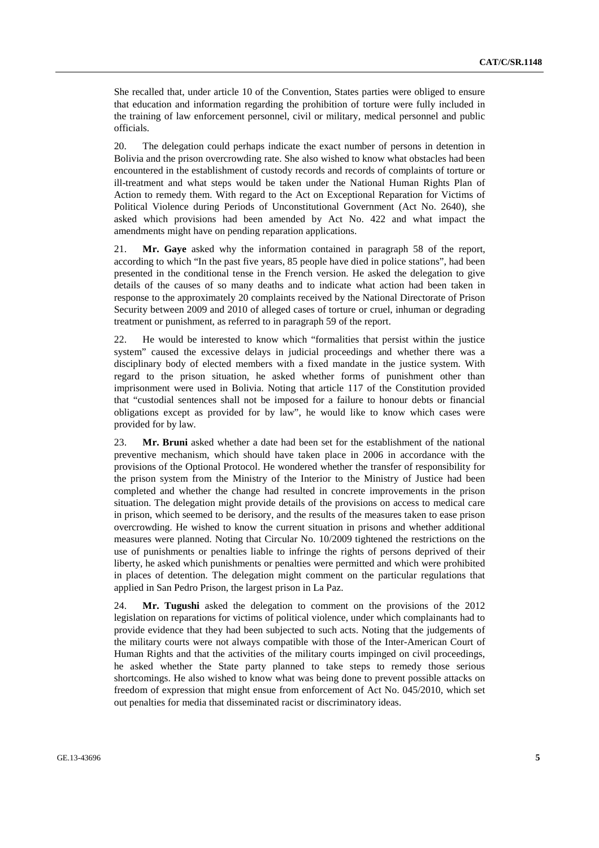She recalled that, under article 10 of the Convention, States parties were obliged to ensure that education and information regarding the prohibition of torture were fully included in the training of law enforcement personnel, civil or military, medical personnel and public officials.

20. The delegation could perhaps indicate the exact number of persons in detention in Bolivia and the prison overcrowding rate. She also wished to know what obstacles had been encountered in the establishment of custody records and records of complaints of torture or ill-treatment and what steps would be taken under the National Human Rights Plan of Action to remedy them. With regard to the Act on Exceptional Reparation for Victims of Political Violence during Periods of Unconstitutional Government (Act No. 2640), she asked which provisions had been amended by Act No. 422 and what impact the amendments might have on pending reparation applications.

21. **Mr. Gaye** asked why the information contained in paragraph 58 of the report, according to which "In the past five years, 85 people have died in police stations", had been presented in the conditional tense in the French version. He asked the delegation to give details of the causes of so many deaths and to indicate what action had been taken in response to the approximately 20 complaints received by the National Directorate of Prison Security between 2009 and 2010 of alleged cases of torture or cruel, inhuman or degrading treatment or punishment, as referred to in paragraph 59 of the report.

22. He would be interested to know which "formalities that persist within the justice system" caused the excessive delays in judicial proceedings and whether there was a disciplinary body of elected members with a fixed mandate in the justice system. With regard to the prison situation, he asked whether forms of punishment other than imprisonment were used in Bolivia. Noting that article 117 of the Constitution provided that "custodial sentences shall not be imposed for a failure to honour debts or financial obligations except as provided for by law", he would like to know which cases were provided for by law.

23. **Mr. Bruni** asked whether a date had been set for the establishment of the national preventive mechanism, which should have taken place in 2006 in accordance with the provisions of the Optional Protocol. He wondered whether the transfer of responsibility for the prison system from the Ministry of the Interior to the Ministry of Justice had been completed and whether the change had resulted in concrete improvements in the prison situation. The delegation might provide details of the provisions on access to medical care in prison, which seemed to be derisory, and the results of the measures taken to ease prison overcrowding. He wished to know the current situation in prisons and whether additional measures were planned. Noting that Circular No. 10/2009 tightened the restrictions on the use of punishments or penalties liable to infringe the rights of persons deprived of their liberty, he asked which punishments or penalties were permitted and which were prohibited in places of detention. The delegation might comment on the particular regulations that applied in San Pedro Prison, the largest prison in La Paz.

24. **Mr. Tugushi** asked the delegation to comment on the provisions of the 2012 legislation on reparations for victims of political violence, under which complainants had to provide evidence that they had been subjected to such acts. Noting that the judgements of the military courts were not always compatible with those of the Inter-American Court of Human Rights and that the activities of the military courts impinged on civil proceedings, he asked whether the State party planned to take steps to remedy those serious shortcomings. He also wished to know what was being done to prevent possible attacks on freedom of expression that might ensue from enforcement of Act No. 045/2010, which set out penalties for media that disseminated racist or discriminatory ideas.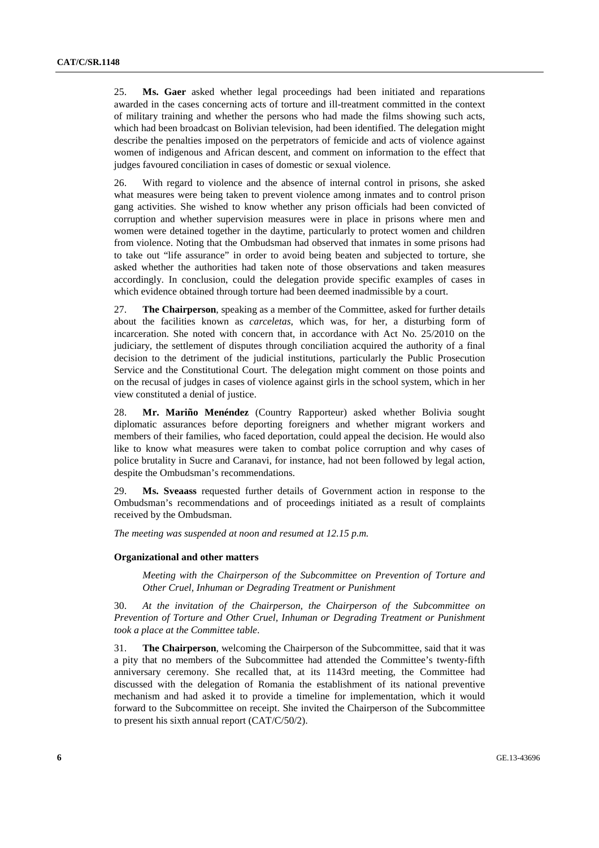25. **Ms. Gaer** asked whether legal proceedings had been initiated and reparations awarded in the cases concerning acts of torture and ill-treatment committed in the context of military training and whether the persons who had made the films showing such acts, which had been broadcast on Bolivian television, had been identified. The delegation might describe the penalties imposed on the perpetrators of femicide and acts of violence against women of indigenous and African descent, and comment on information to the effect that judges favoured conciliation in cases of domestic or sexual violence.

26. With regard to violence and the absence of internal control in prisons, she asked what measures were being taken to prevent violence among inmates and to control prison gang activities. She wished to know whether any prison officials had been convicted of corruption and whether supervision measures were in place in prisons where men and women were detained together in the daytime, particularly to protect women and children from violence. Noting that the Ombudsman had observed that inmates in some prisons had to take out "life assurance" in order to avoid being beaten and subjected to torture, she asked whether the authorities had taken note of those observations and taken measures accordingly. In conclusion, could the delegation provide specific examples of cases in which evidence obtained through torture had been deemed inadmissible by a court.

27. **The Chairperson**, speaking as a member of the Committee, asked for further details about the facilities known as *carceletas*, which was, for her, a disturbing form of incarceration. She noted with concern that, in accordance with Act No. 25/2010 on the judiciary, the settlement of disputes through conciliation acquired the authority of a final decision to the detriment of the judicial institutions, particularly the Public Prosecution Service and the Constitutional Court. The delegation might comment on those points and on the recusal of judges in cases of violence against girls in the school system, which in her view constituted a denial of justice.

28. **Mr. Mariño Menéndez** (Country Rapporteur) asked whether Bolivia sought diplomatic assurances before deporting foreigners and whether migrant workers and members of their families, who faced deportation, could appeal the decision. He would also like to know what measures were taken to combat police corruption and why cases of police brutality in Sucre and Caranavi, for instance, had not been followed by legal action, despite the Ombudsman's recommendations.

29. **Ms. Sveaass** requested further details of Government action in response to the Ombudsman's recommendations and of proceedings initiated as a result of complaints received by the Ombudsman.

*The meeting was suspended at noon and resumed at 12.15 p.m.* 

## **Organizational and other matters**

*Meeting with the Chairperson of the Subcommittee on Prevention of Torture and Other Cruel, Inhuman or Degrading Treatment or Punishment* 

30. *At the invitation of the Chairperson, the Chairperson of the Subcommittee on Prevention of Torture and Other Cruel, Inhuman or Degrading Treatment or Punishment took a place at the Committee table*.

31. **The Chairperson**, welcoming the Chairperson of the Subcommittee, said that it was a pity that no members of the Subcommittee had attended the Committee's twenty-fifth anniversary ceremony. She recalled that, at its 1143rd meeting, the Committee had discussed with the delegation of Romania the establishment of its national preventive mechanism and had asked it to provide a timeline for implementation, which it would forward to the Subcommittee on receipt. She invited the Chairperson of the Subcommittee to present his sixth annual report (CAT/C/50/2).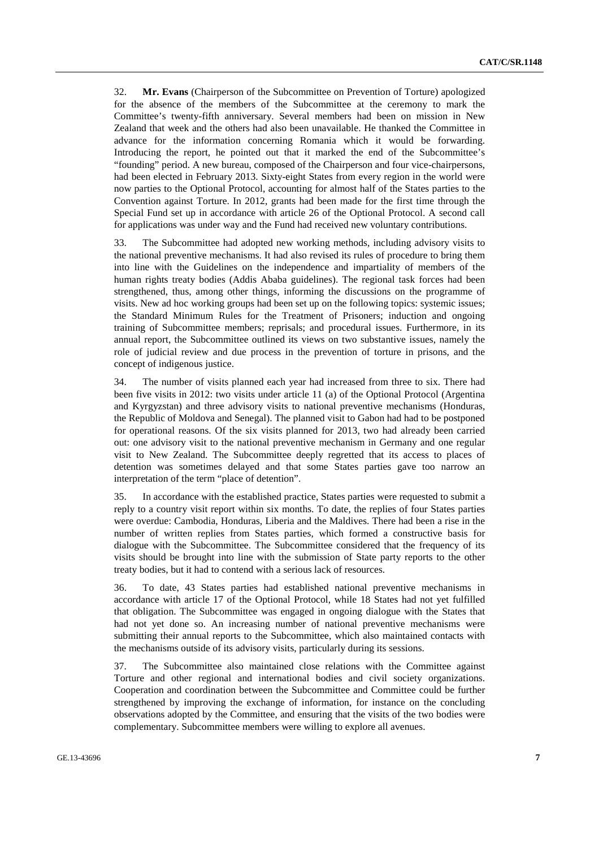32. **Mr. Evans** (Chairperson of the Subcommittee on Prevention of Torture) apologized for the absence of the members of the Subcommittee at the ceremony to mark the Committee's twenty-fifth anniversary. Several members had been on mission in New Zealand that week and the others had also been unavailable. He thanked the Committee in advance for the information concerning Romania which it would be forwarding. Introducing the report, he pointed out that it marked the end of the Subcommittee's "founding" period. A new bureau, composed of the Chairperson and four vice-chairpersons, had been elected in February 2013. Sixty-eight States from every region in the world were now parties to the Optional Protocol, accounting for almost half of the States parties to the Convention against Torture. In 2012, grants had been made for the first time through the Special Fund set up in accordance with article 26 of the Optional Protocol. A second call for applications was under way and the Fund had received new voluntary contributions.

33. The Subcommittee had adopted new working methods, including advisory visits to the national preventive mechanisms. It had also revised its rules of procedure to bring them into line with the Guidelines on the independence and impartiality of members of the human rights treaty bodies (Addis Ababa guidelines). The regional task forces had been strengthened, thus, among other things, informing the discussions on the programme of visits. New ad hoc working groups had been set up on the following topics: systemic issues; the Standard Minimum Rules for the Treatment of Prisoners; induction and ongoing training of Subcommittee members; reprisals; and procedural issues. Furthermore, in its annual report, the Subcommittee outlined its views on two substantive issues, namely the role of judicial review and due process in the prevention of torture in prisons, and the concept of indigenous justice.

34. The number of visits planned each year had increased from three to six. There had been five visits in 2012: two visits under article 11 (a) of the Optional Protocol (Argentina and Kyrgyzstan) and three advisory visits to national preventive mechanisms (Honduras, the Republic of Moldova and Senegal). The planned visit to Gabon had had to be postponed for operational reasons. Of the six visits planned for 2013, two had already been carried out: one advisory visit to the national preventive mechanism in Germany and one regular visit to New Zealand. The Subcommittee deeply regretted that its access to places of detention was sometimes delayed and that some States parties gave too narrow an interpretation of the term "place of detention".

35. In accordance with the established practice, States parties were requested to submit a reply to a country visit report within six months. To date, the replies of four States parties were overdue: Cambodia, Honduras, Liberia and the Maldives. There had been a rise in the number of written replies from States parties, which formed a constructive basis for dialogue with the Subcommittee. The Subcommittee considered that the frequency of its visits should be brought into line with the submission of State party reports to the other treaty bodies, but it had to contend with a serious lack of resources.

36. To date, 43 States parties had established national preventive mechanisms in accordance with article 17 of the Optional Protocol, while 18 States had not yet fulfilled that obligation. The Subcommittee was engaged in ongoing dialogue with the States that had not yet done so. An increasing number of national preventive mechanisms were submitting their annual reports to the Subcommittee, which also maintained contacts with the mechanisms outside of its advisory visits, particularly during its sessions.

37. The Subcommittee also maintained close relations with the Committee against Torture and other regional and international bodies and civil society organizations. Cooperation and coordination between the Subcommittee and Committee could be further strengthened by improving the exchange of information, for instance on the concluding observations adopted by the Committee, and ensuring that the visits of the two bodies were complementary. Subcommittee members were willing to explore all avenues.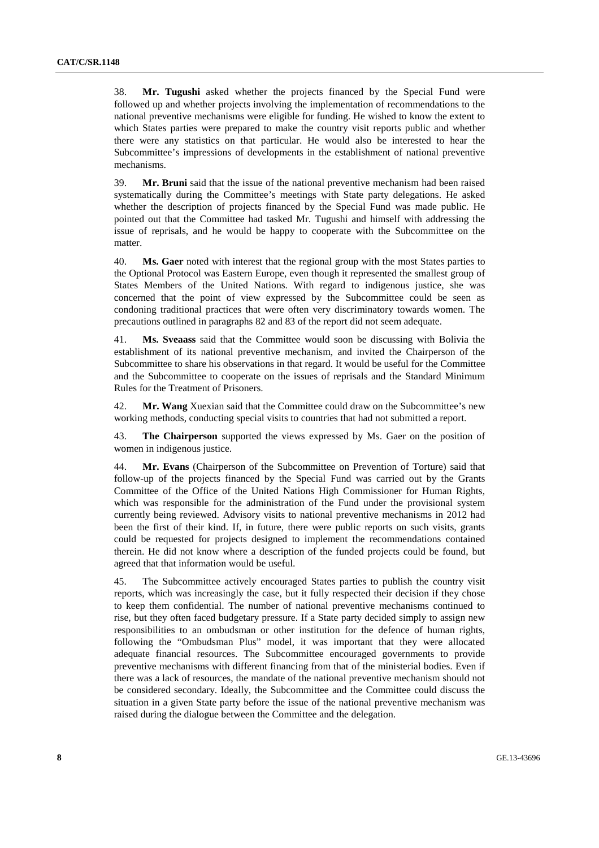38. **Mr. Tugushi** asked whether the projects financed by the Special Fund were followed up and whether projects involving the implementation of recommendations to the national preventive mechanisms were eligible for funding. He wished to know the extent to which States parties were prepared to make the country visit reports public and whether there were any statistics on that particular. He would also be interested to hear the Subcommittee's impressions of developments in the establishment of national preventive mechanisms.

39. **Mr. Bruni** said that the issue of the national preventive mechanism had been raised systematically during the Committee's meetings with State party delegations. He asked whether the description of projects financed by the Special Fund was made public. He pointed out that the Committee had tasked Mr. Tugushi and himself with addressing the issue of reprisals, and he would be happy to cooperate with the Subcommittee on the matter.

40. **Ms. Gaer** noted with interest that the regional group with the most States parties to the Optional Protocol was Eastern Europe, even though it represented the smallest group of States Members of the United Nations. With regard to indigenous justice, she was concerned that the point of view expressed by the Subcommittee could be seen as condoning traditional practices that were often very discriminatory towards women. The precautions outlined in paragraphs 82 and 83 of the report did not seem adequate.

41. **Ms. Sveaass** said that the Committee would soon be discussing with Bolivia the establishment of its national preventive mechanism, and invited the Chairperson of the Subcommittee to share his observations in that regard. It would be useful for the Committee and the Subcommittee to cooperate on the issues of reprisals and the Standard Minimum Rules for the Treatment of Prisoners.

42. **Mr. Wang** Xuexian said that the Committee could draw on the Subcommittee's new working methods, conducting special visits to countries that had not submitted a report.

43. **The Chairperson** supported the views expressed by Ms. Gaer on the position of women in indigenous justice.

44. **Mr. Evans** (Chairperson of the Subcommittee on Prevention of Torture) said that follow-up of the projects financed by the Special Fund was carried out by the Grants Committee of the Office of the United Nations High Commissioner for Human Rights, which was responsible for the administration of the Fund under the provisional system currently being reviewed. Advisory visits to national preventive mechanisms in 2012 had been the first of their kind. If, in future, there were public reports on such visits, grants could be requested for projects designed to implement the recommendations contained therein. He did not know where a description of the funded projects could be found, but agreed that that information would be useful.

45. The Subcommittee actively encouraged States parties to publish the country visit reports, which was increasingly the case, but it fully respected their decision if they chose to keep them confidential. The number of national preventive mechanisms continued to rise, but they often faced budgetary pressure. If a State party decided simply to assign new responsibilities to an ombudsman or other institution for the defence of human rights, following the "Ombudsman Plus" model, it was important that they were allocated adequate financial resources. The Subcommittee encouraged governments to provide preventive mechanisms with different financing from that of the ministerial bodies. Even if there was a lack of resources, the mandate of the national preventive mechanism should not be considered secondary. Ideally, the Subcommittee and the Committee could discuss the situation in a given State party before the issue of the national preventive mechanism was raised during the dialogue between the Committee and the delegation.